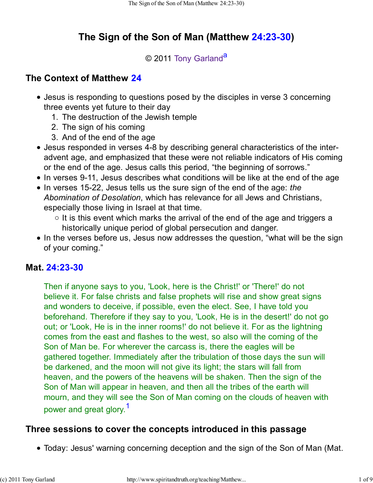# **The Sign of the Son of Man (Matthew 24:23-30)**

#### © 2011 Tony Garland<sup>a</sup>

# **The Context of Matthew 24**

- Jesus is responding to questions posed by the disciples in verse 3 concerning three events yet future to their day
	- 1. The destruction of the Jewish temple
	- 2. The sign of his coming
	- 3. And of the end of the age
- Jesus responded in verses 4-8 by describing general characteristics of the interadvent age, and emphasized that these were not reliable indicators of His coming or the end of the age. Jesus calls this period, "the beginning of sorrows."
- In verses 9-11, Jesus describes what conditions will be like at the end of the age
- In verses 15-22, Jesus tells us the sure sign of the end of the age: *the Abomination of Desolation*, which has relevance for all Jews and Christians, especially those living in Israel at that time.
	- $\circ$  It is this event which marks the arrival of the end of the age and triggers a historically unique period of global persecution and danger.
- In the verses before us, Jesus now addresses the question, "what will be the sign of your coming."

# **Mat. 24:23-30**

Then if anyone says to you, 'Look, here is the Christ!' or 'There!' do not believe it. For false christs and false prophets will rise and show great signs and wonders to deceive, if possible, even the elect. See, I have told you beforehand. Therefore if they say to you, 'Look, He is in the desert!' do not go out; or 'Look, He is in the inner rooms!' do not believe it. For as the lightning comes from the east and flashes to the west, so also will the coming of the Son of Man be. For wherever the carcass is, there the eagles will be gathered together. Immediately after the tribulation of those days the sun will be darkened, and the moon will not give its light; the stars will fall from heaven, and the powers of the heavens will be shaken. Then the sign of the Son of Man will appear in heaven, and then all the tribes of the earth will mourn, and they will see the Son of Man coming on the clouds of heaven with power and great glory.<sup>1</sup>

#### **Three sessions to cover the concepts introduced in this passage**

Today: Jesus' warning concerning deception and the sign of the Son of Man (Mat.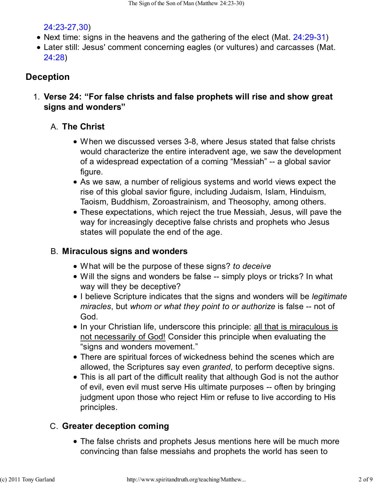### 24:23-27,30)

- Next time: signs in the heavens and the gathering of the elect (Mat. 24:29-31)
- Later still: Jesus' comment concerning eagles (or vultures) and carcasses (Mat. 24:28)

# **Deception**

**Verse 24: "For false christs and false prophets will rise and show great** 1. **signs and wonders"**

# **The Christ** A.

- When we discussed verses 3-8, where Jesus stated that false christs would characterize the entire interadvent age, we saw the development of a widespread expectation of a coming "Messiah" -- a global savior figure.
- As we saw, a number of religious systems and world views expect the rise of this global savior figure, including Judaism, Islam, Hinduism, Taoism, Buddhism, Zoroastrainism, and Theosophy, among others.
- These expectations, which reject the true Messiah, Jesus, will pave the way for increasingly deceptive false christs and prophets who Jesus states will populate the end of the age.

# **Miraculous signs and wonders** B.

- What will be the purpose of these signs? *to deceive*
- Will the signs and wonders be false -- simply ploys or tricks? In what way will they be deceptive?
- I believe Scripture indicates that the signs and wonders will be *legitimate miracles*, but *whom or what they point to or authorize* is false -- not of God.
- In your Christian life, underscore this principle: all that is miraculous is not necessarily of God! Consider this principle when evaluating the "signs and wonders movement."
- There are spiritual forces of wickedness behind the scenes which are allowed, the Scriptures say even *granted*, to perform deceptive signs.
- This is all part of the difficult reality that although God is not the author of evil, even evil must serve His ultimate purposes -- often by bringing judgment upon those who reject Him or refuse to live according to His principles.

# **Greater deception coming** C.

The false christs and prophets Jesus mentions here will be much more convincing than false messiahs and prophets the world has seen to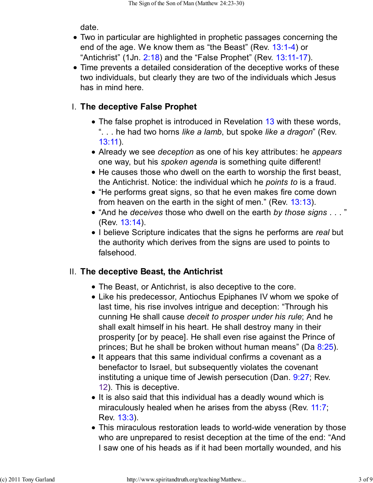date.

- Two in particular are highlighted in prophetic passages concerning the end of the age. We know them as "the Beast" (Rev. 13:1-4) or "Antichrist" (1Jn. 2:18) and the "False Prophet" (Rev. 13:11-17).
- Time prevents a detailed consideration of the deceptive works of these two individuals, but clearly they are two of the individuals which Jesus has in mind here.

# **The deceptive False Prophet** I.

- The false prophet is introduced in Revelation 13 with these words, ". . . he had two horns *like a lamb*, but spoke *like a dragon*" (Rev. 13:11).
- Already we see *deception* as one of his key attributes: he *appears* one way, but his *spoken agenda* is something quite different!
- He causes those who dwell on the earth to worship the first beast, the Antichrist. Notice: the individual which he *points to* is a fraud.
- "He performs great signs, so that he even makes fire come down from heaven on the earth in the sight of men." (Rev. 13:13).
- "And he *deceives* those who dwell on the earth *by those signs* . . . " (Rev. 13:14).
- I believe Scripture indicates that the signs he performs are *real* but the authority which derives from the signs are used to points to falsehood.

# **The deceptive Beast, the Antichrist** II.

- The Beast, or Antichrist, is also deceptive to the core.
- Like his predecessor, Antiochus Epiphanes IV whom we spoke of last time, his rise involves intrigue and deception: "Through his cunning He shall cause *deceit to prosper under his rule*; And he shall exalt himself in his heart. He shall destroy many in their prosperity [or by peace]. He shall even rise against the Prince of princes; But he shall be broken without human means" (Da  $8:25$ ).
- It appears that this same individual confirms a covenant as a benefactor to Israel, but subsequently violates the covenant instituting a unique time of Jewish persecution (Dan. 9:27; Rev. 12). This is deceptive.
- It is also said that this individual has a deadly wound which is miraculously healed when he arises from the abyss (Rev. 11:7; Rev. 13:3).
- This miraculous restoration leads to world-wide veneration by those who are unprepared to resist deception at the time of the end: "And I saw one of his heads as if it had been mortally wounded, and his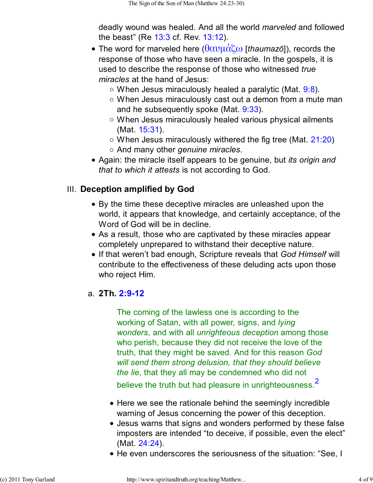deadly wound was healed. And all the world *marveled* and followed the beast" (Re 13:3 cf. Rev. 13:12).

- The word for marveled here (θαυµάζω [*thaumazō*]), records the response of those who have seen a miracle. In the gospels, it is used to describe the response of those who witnessed *true miracles* at the hand of Jesus:
	- $\circ$  When Jesus miraculously healed a paralytic (Mat. 9:8).
	- When Jesus miraculously cast out a demon from a mute man and he subsequently spoke (Mat. 9:33).
	- When Jesus miraculously healed various physical ailments (Mat. 15:31).
	- $\circ$  When Jesus miraculously withered the fig tree (Mat. 21:20)
	- And many other *genuine miracles*.
- Again: the miracle itself appears to be genuine, but *its origin and that to which it attests* is not according to God.

### **III. Deception amplified by God**

- By the time these deceptive miracles are unleashed upon the world, it appears that knowledge, and certainly acceptance, of the Word of God will be in decline.
- As a result, those who are captivated by these miracles appear completely unprepared to withstand their deceptive nature.
- If that weren't bad enough, Scripture reveals that *God Himself* will contribute to the effectiveness of these deluding acts upon those who reject Him.

#### **2Th. 2:9-12** a.

The coming of the lawless one is according to the working of Satan, with all power, signs, and *lying wonders*, and with all *unrighteous deception* among those who perish, because they did not receive the love of the truth, that they might be saved. And for this reason *God will send them strong delusion, that they should believe the lie*, that they all may be condemned who did not believe the truth but had pleasure in unrighteousness.<sup>2</sup>

- Here we see the rationale behind the seemingly incredible warning of Jesus concerning the power of this deception.
- Jesus warns that signs and wonders performed by these false imposters are intended "to deceive, if possible, even the elect" (Mat. 24:24).
- He even underscores the seriousness of the situation: "See, I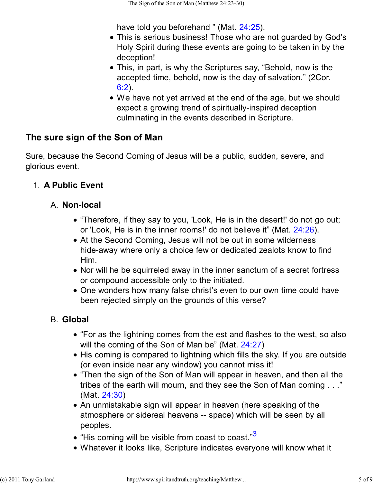have told you beforehand " (Mat. 24:25).

- This is serious business! Those who are not guarded by God's Holy Spirit during these events are going to be taken in by the deception!
- This, in part, is why the Scriptures say, "Behold, now is the accepted time, behold, now is the day of salvation." (2Cor. 6:2).
- We have not yet arrived at the end of the age, but we should expect a growing trend of spiritually-inspired deception culminating in the events described in Scripture.

# **The sure sign of the Son of Man**

Sure, because the Second Coming of Jesus will be a public, sudden, severe, and glorious event.

### 1. **A Public Event**

#### A. **Non-local**

- "Therefore, if they say to you, 'Look, He is in the desert!' do not go out; or 'Look, He is in the inner rooms!' do not believe it" (Mat. 24:26).
- At the Second Coming, Jesus will not be out in some wilderness hide-away where only a choice few or dedicated zealots know to find Him.
- Nor will he be squirreled away in the inner sanctum of a secret fortress or compound accessible only to the initiated.
- One wonders how many false christ's even to our own time could have been rejected simply on the grounds of this verse?

# **Global** B.

- "For as the lightning comes from the est and flashes to the west, so also will the coming of the Son of Man be" (Mat. 24:27)
- His coming is compared to lightning which fills the sky. If you are outside (or even inside near any window) you cannot miss it!
- "Then the sign of the Son of Man will appear in heaven, and then all the tribes of the earth will mourn, and they see the Son of Man coming . . ." (Mat. 24:30)
- An unmistakable sign will appear in heaven (here speaking of the atmosphere or sidereal heavens -- space) which will be seen by all peoples.
- $\bullet$  "His coming will be visible from coast to coast." $3$
- Whatever it looks like, Scripture indicates everyone will know what it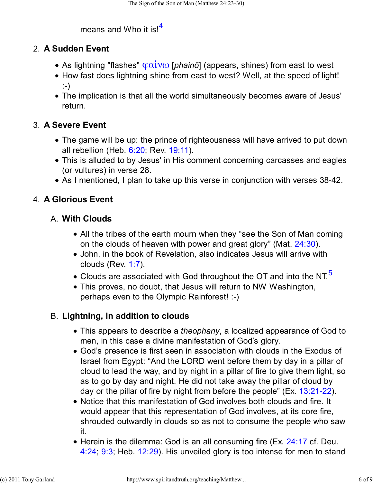# means and Who it is! $<sup>4</sup>$ </sup>

### **A Sudden Event** 2.

- As lightning "flashes" φαίνω [*phainō*] (appears, shines) from east to west
- How fast does lightning shine from east to west? Well, at the speed of light! :-)
- The implication is that all the world simultaneously becomes aware of Jesus' return.

# **A Severe Event** 3.

- The game will be up: the prince of righteousness will have arrived to put down all rebellion (Heb. 6:20; Rev. 19:11).
- This is alluded to by Jesus' in His comment concerning carcasses and eagles (or vultures) in verse 28.
- As I mentioned, I plan to take up this verse in conjunction with verses 38-42.

# 4. **A Glorious Event**

### **With Clouds** A.

- All the tribes of the earth mourn when they "see the Son of Man coming on the clouds of heaven with power and great glory" (Mat. 24:30).
- John, in the book of Revelation, also indicates Jesus will arrive with clouds (Rev. 1:7).
- $\bullet$  Clouds are associated with God throughout the OT and into the NT.<sup>5</sup>
- This proves, no doubt, that Jesus will return to NW Washington, perhaps even to the Olympic Rainforest! :-)

# **Lightning, in addition to clouds** B.

- This appears to describe a *theophany*, a localized appearance of God to men, in this case a divine manifestation of God's glory.
- God's presence is first seen in association with clouds in the Exodus of Israel from Egypt: "And the LORD went before them by day in a pillar of cloud to lead the way, and by night in a pillar of fire to give them light, so as to go by day and night. He did not take away the pillar of cloud by day or the pillar of fire by night from before the people" (Ex. 13:21-22).
- Notice that this manifestation of God involves both clouds and fire. It would appear that this representation of God involves, at its core fire, shrouded outwardly in clouds so as not to consume the people who saw it.
- Herein is the dilemma: God is an all consuming fire (Ex. 24:17 cf. Deu. 4:24; 9:3; Heb. 12:29). His unveiled glory is too intense for men to stand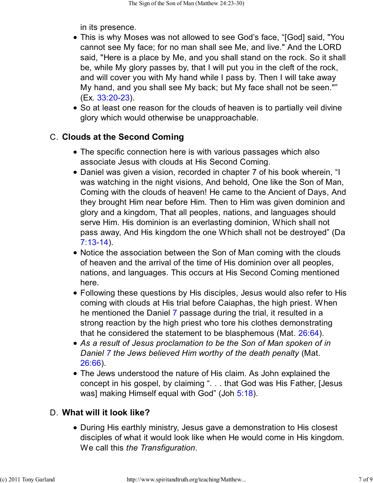in its presence.

- This is why Moses was not allowed to see God's face, "[God] said, "You cannot see My face; for no man shall see Me, and live." And the LORD said, "Here is a place by Me, and you shall stand on the rock. So it shall be, while My glory passes by, that I will put you in the cleft of the rock, and will cover you with My hand while I pass by. Then I will take away My hand, and you shall see My back; but My face shall not be seen."" (Ex. 33:20-23).
- So at least one reason for the clouds of heaven is to partially veil divine glory which would otherwise be unapproachable.

### **C. Clouds at the Second Coming**

- The specific connection here is with various passages which also associate Jesus with clouds at His Second Coming.
- Daniel was given a vision, recorded in chapter 7 of his book wherein, "I was watching in the night visions, And behold, One like the Son of Man, Coming with the clouds of heaven! He came to the Ancient of Days, And they brought Him near before Him. Then to Him was given dominion and glory and a kingdom, That all peoples, nations, and languages should serve Him. His dominion is an everlasting dominion, Which shall not pass away, And His kingdom the one Which shall not be destroyed" (Da 7:13-14).
- Notice the association between the Son of Man coming with the clouds of heaven and the arrival of the time of His dominion over all peoples, nations, and languages. This occurs at His Second Coming mentioned here.
- Following these questions by His disciples, Jesus would also refer to His coming with clouds at His trial before Caiaphas, the high priest. When he mentioned the Daniel 7 passage during the trial, it resulted in a strong reaction by the high priest who tore his clothes demonstrating that he considered the statement to be blasphemous (Mat. 26:64).
- *As a result of Jesus proclamation to be the Son of Man spoken of in Daniel 7 the Jews believed Him worthy of the death penalty* (Mat. 26:66).
- The Jews understood the nature of His claim. As John explained the concept in his gospel, by claiming ". . . that God was His Father, [Jesus was] making Himself equal with God" (Joh 5:18).

# **What will it look like?** D.

During His earthly ministry, Jesus gave a demonstration to His closest disciples of what it would look like when He would come in His kingdom. We call this *the Transfiguration*.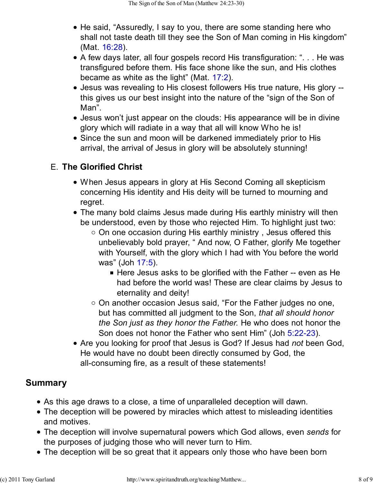- He said, "Assuredly, I say to you, there are some standing here who shall not taste death till they see the Son of Man coming in His kingdom" (Mat. 16:28).
- A few days later, all four gospels record His transfiguration: ". . . He was transfigured before them. His face shone like the sun, and His clothes became as white as the light" (Mat. 17:2).
- Jesus was revealing to His closest followers His true nature, His glory this gives us our best insight into the nature of the "sign of the Son of Man".
- Jesus won't just appear on the clouds: His appearance will be in divine glory which will radiate in a way that all will know Who he is!
- Since the sun and moon will be darkened immediately prior to His arrival, the arrival of Jesus in glory will be absolutely stunning!

# **The Glorified Christ** E.

- When Jesus appears in glory at His Second Coming all skepticism concerning His identity and His deity will be turned to mourning and regret.
- The many bold claims Jesus made during His earthly ministry will then be understood, even by those who rejected Him. To highlight just two:
	- $\circ$  On one occasion during His earthly ministry, Jesus offered this unbelievably bold prayer, " And now, O Father, glorify Me together with Yourself, with the glory which I had with You before the world was" (Joh 17:5).
		- Here Jesus asks to be glorified with the Father -- even as He had before the world was! These are clear claims by Jesus to eternality and deity!
	- o On another occasion Jesus said, "For the Father judges no one, but has committed all judgment to the Son, *that all should honor the Son just as they honor the Father.* He who does not honor the Son does not honor the Father who sent Him" (Joh 5:22-23).
- Are you looking for proof that Jesus is God? If Jesus had *not* been God, He would have no doubt been directly consumed by God, the all-consuming fire, as a result of these statements!

# **Summary**

- As this age draws to a close, a time of unparalleled deception will dawn.
- The deception will be powered by miracles which attest to misleading identities and motives.
- The deception will involve supernatural powers which God allows, even *sends* for the purposes of judging those who will never turn to Him.
- The deception will be so great that it appears only those who have been born